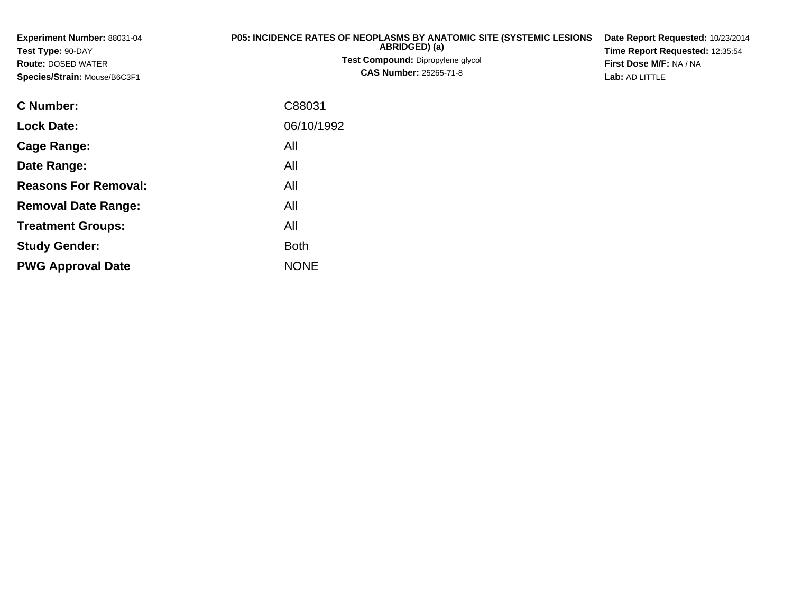| Experiment Number: 88031-04<br>Test Type: 90-DAY<br><b>Route: DOSED WATER</b><br>Species/Strain: Mouse/B6C3F1 | P05: INCIDENCE RATES OF NEOPLASMS BY ANATOMIC SITE (SYSTEMIC LESIONS<br>ABRIDGED) (a)<br>Test Compound: Dipropylene glycol<br><b>CAS Number: 25265-71-8</b> | Date Report Requested: 10/23/2014<br>Time Report Requested: 12:35:54<br>First Dose M/F: NA / NA<br>Lab: AD LITTLE |  |  |
|---------------------------------------------------------------------------------------------------------------|-------------------------------------------------------------------------------------------------------------------------------------------------------------|-------------------------------------------------------------------------------------------------------------------|--|--|
| C Number:                                                                                                     | C88031                                                                                                                                                      |                                                                                                                   |  |  |
| <b>Lock Date:</b>                                                                                             | 06/10/1992                                                                                                                                                  |                                                                                                                   |  |  |
| Cage Range:                                                                                                   | All                                                                                                                                                         |                                                                                                                   |  |  |
| Date Range:                                                                                                   | All                                                                                                                                                         |                                                                                                                   |  |  |
| <b>Reasons For Removal:</b>                                                                                   | All                                                                                                                                                         |                                                                                                                   |  |  |
| <b>Removal Date Range:</b>                                                                                    | All                                                                                                                                                         |                                                                                                                   |  |  |

**Treatment Groups:**

**PWG Approval Date**

**Study Gender:**

All

e NONE

Both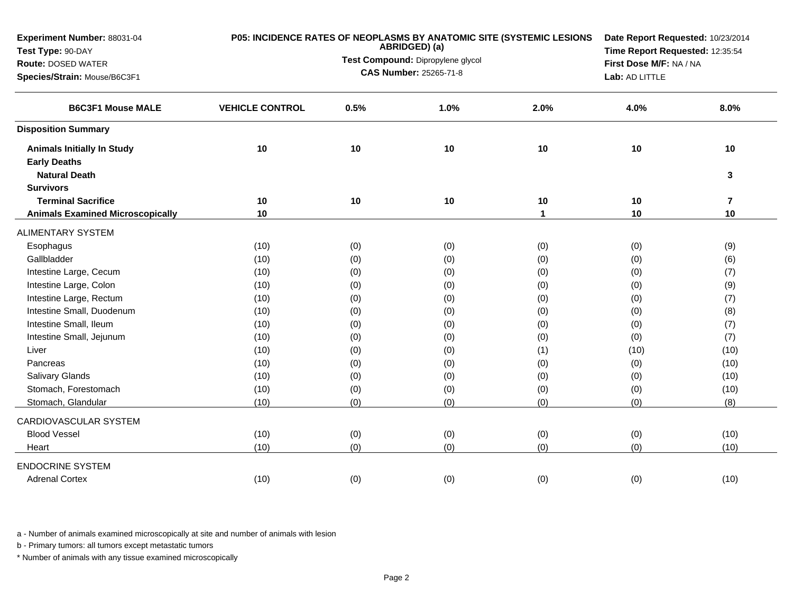| Experiment Number: 88031-04<br>Test Type: 90-DAY |                        |      | ABRIDGED) (a)                     | P05: INCIDENCE RATES OF NEOPLASMS BY ANATOMIC SITE (SYSTEMIC LESIONS | Date Report Requested: 10/23/2014 |                                                                                                                                                     |  |  |
|--------------------------------------------------|------------------------|------|-----------------------------------|----------------------------------------------------------------------|-----------------------------------|-----------------------------------------------------------------------------------------------------------------------------------------------------|--|--|
| <b>Route: DOSED WATER</b>                        |                        |      | Test Compound: Dipropylene glycol |                                                                      | First Dose M/F: NA / NA           |                                                                                                                                                     |  |  |
| Species/Strain: Mouse/B6C3F1                     |                        |      | <b>CAS Number: 25265-71-8</b>     |                                                                      | Lab: AD LITTLE                    | Time Report Requested: 12:35:54<br>8.0%<br>10<br>3<br>$\overline{\mathbf{7}}$<br>10<br>(9)<br>(6)<br>(7)<br>(9)<br>(7)<br>(8)<br>(7)<br>(7)<br>(10) |  |  |
|                                                  |                        |      |                                   |                                                                      |                                   |                                                                                                                                                     |  |  |
| <b>B6C3F1 Mouse MALE</b>                         | <b>VEHICLE CONTROL</b> | 0.5% | 1.0%                              | 2.0%                                                                 | 4.0%                              |                                                                                                                                                     |  |  |
| <b>Disposition Summary</b>                       |                        |      |                                   |                                                                      |                                   |                                                                                                                                                     |  |  |
| <b>Animals Initially In Study</b>                | 10                     | 10   | 10                                | 10                                                                   | 10                                |                                                                                                                                                     |  |  |
| <b>Early Deaths</b>                              |                        |      |                                   |                                                                      |                                   |                                                                                                                                                     |  |  |
| <b>Natural Death</b>                             |                        |      |                                   |                                                                      |                                   |                                                                                                                                                     |  |  |
| <b>Survivors</b>                                 |                        |      |                                   |                                                                      |                                   |                                                                                                                                                     |  |  |
| <b>Terminal Sacrifice</b>                        | 10                     | 10   | 10                                | 10                                                                   | 10                                |                                                                                                                                                     |  |  |
| <b>Animals Examined Microscopically</b>          | 10                     |      |                                   | $\blacktriangleleft$                                                 | 10                                |                                                                                                                                                     |  |  |
| <b>ALIMENTARY SYSTEM</b>                         |                        |      |                                   |                                                                      |                                   |                                                                                                                                                     |  |  |
| Esophagus                                        | (10)                   | (0)  | (0)                               | (0)                                                                  | (0)                               |                                                                                                                                                     |  |  |
| Gallbladder                                      | (10)                   | (0)  | (0)                               | (0)                                                                  | (0)                               |                                                                                                                                                     |  |  |
| Intestine Large, Cecum                           | (10)                   | (0)  | (0)                               | (0)                                                                  | (0)                               |                                                                                                                                                     |  |  |
| Intestine Large, Colon                           | (10)                   | (0)  | (0)                               | (0)                                                                  | (0)                               |                                                                                                                                                     |  |  |
| Intestine Large, Rectum                          | (10)                   | (0)  | (0)                               | (0)                                                                  | (0)                               |                                                                                                                                                     |  |  |
| Intestine Small, Duodenum                        | (10)                   | (0)  | (0)                               | (0)                                                                  | (0)                               |                                                                                                                                                     |  |  |
| Intestine Small, Ileum                           | (10)                   | (0)  | (0)                               | (0)                                                                  | (0)                               |                                                                                                                                                     |  |  |
| Intestine Small, Jejunum                         | (10)                   | (0)  | (0)                               | (0)                                                                  | (0)                               |                                                                                                                                                     |  |  |
| Liver                                            | (10)                   | (0)  | (0)                               | (1)                                                                  | (10)                              |                                                                                                                                                     |  |  |
| Pancreas                                         | (10)                   | (0)  | (0)                               | (0)                                                                  | (0)                               | (10)                                                                                                                                                |  |  |
| <b>Salivary Glands</b>                           | (10)                   | (0)  | (0)                               | (0)                                                                  | (0)                               | (10)                                                                                                                                                |  |  |
| Stomach, Forestomach                             | (10)                   | (0)  | (0)                               | (0)                                                                  | (0)                               | (10)                                                                                                                                                |  |  |
| Stomach, Glandular                               | (10)                   | (0)  | (0)                               | (0)                                                                  | (0)                               | (8)                                                                                                                                                 |  |  |
| CARDIOVASCULAR SYSTEM                            |                        |      |                                   |                                                                      |                                   |                                                                                                                                                     |  |  |
| <b>Blood Vessel</b>                              | (10)                   | (0)  | (0)                               | (0)                                                                  | (0)                               | (10)                                                                                                                                                |  |  |
| Heart                                            | (10)                   | (0)  | (0)                               | (0)                                                                  | (0)                               | (10)                                                                                                                                                |  |  |
| <b>ENDOCRINE SYSTEM</b>                          |                        |      |                                   |                                                                      |                                   |                                                                                                                                                     |  |  |
| <b>Adrenal Cortex</b>                            | (10)                   | (0)  | (0)                               | (0)                                                                  | (0)                               | (10)                                                                                                                                                |  |  |
|                                                  |                        |      |                                   |                                                                      |                                   |                                                                                                                                                     |  |  |

b - Primary tumors: all tumors except metastatic tumors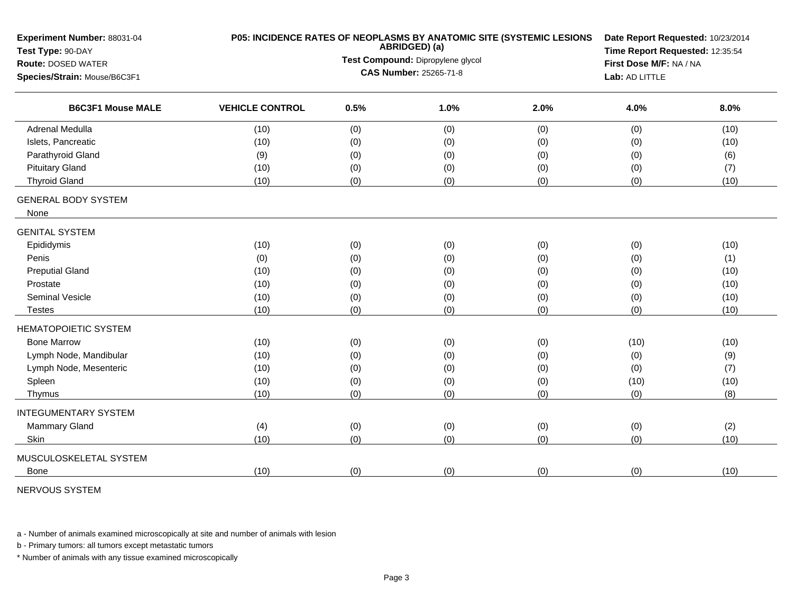| Experiment Number: 88031-04<br>Test Type: 90-DAY |                        |                                                 | ABRIDGED) (a)                     | P05: INCIDENCE RATES OF NEOPLASMS BY ANATOMIC SITE (SYSTEMIC LESIONS | Date Report Requested: 10/23/2014 |                                                                               |  |  |  |
|--------------------------------------------------|------------------------|-------------------------------------------------|-----------------------------------|----------------------------------------------------------------------|-----------------------------------|-------------------------------------------------------------------------------|--|--|--|
| <b>Route: DOSED WATER</b>                        |                        |                                                 | Test Compound: Dipropylene glycol |                                                                      | First Dose M/F: NA / NA           | Time Report Requested: 12:35:54<br>8.0%<br>(10)<br>(10)<br>(6)<br>(7)<br>(10) |  |  |  |
| Species/Strain: Mouse/B6C3F1                     |                        | <b>CAS Number: 25265-71-8</b><br>Lab: AD LITTLE |                                   |                                                                      |                                   |                                                                               |  |  |  |
| <b>B6C3F1 Mouse MALE</b>                         | <b>VEHICLE CONTROL</b> | 0.5%                                            | 1.0%                              | 2.0%                                                                 | 4.0%                              |                                                                               |  |  |  |
| <b>Adrenal Medulla</b>                           | (10)                   | (0)                                             | (0)                               | (0)                                                                  | (0)                               |                                                                               |  |  |  |
| Islets, Pancreatic                               | (10)                   | (0)                                             | (0)                               | (0)                                                                  | (0)                               |                                                                               |  |  |  |
| Parathyroid Gland                                | (9)                    | (0)                                             | (0)                               | (0)                                                                  | (0)                               |                                                                               |  |  |  |
| <b>Pituitary Gland</b>                           | (10)                   | (0)                                             | (0)                               | (0)                                                                  | (0)                               |                                                                               |  |  |  |
| <b>Thyroid Gland</b>                             | (10)                   | (0)                                             | (0)                               | (0)                                                                  | (0)                               |                                                                               |  |  |  |
| <b>GENERAL BODY SYSTEM</b><br>None               |                        |                                                 |                                   |                                                                      |                                   |                                                                               |  |  |  |
| <b>GENITAL SYSTEM</b>                            |                        |                                                 |                                   |                                                                      |                                   |                                                                               |  |  |  |
| Epididymis                                       | (10)                   | (0)                                             | (0)                               | (0)                                                                  | (0)                               | (10)                                                                          |  |  |  |
| Penis                                            | (0)                    | (0)                                             | (0)                               | (0)                                                                  | (0)                               | (1)                                                                           |  |  |  |
| <b>Preputial Gland</b>                           | (10)                   | (0)                                             | (0)                               | (0)                                                                  | (0)                               | (10)                                                                          |  |  |  |
| Prostate                                         | (10)                   | (0)                                             | (0)                               | (0)                                                                  | (0)                               | (10)                                                                          |  |  |  |
| <b>Seminal Vesicle</b>                           | (10)                   | (0)                                             | (0)                               | (0)                                                                  | (0)                               | (10)                                                                          |  |  |  |
| Testes                                           | (10)                   | (0)                                             | (0)                               | (0)                                                                  | (0)                               | (10)                                                                          |  |  |  |
| <b>HEMATOPOIETIC SYSTEM</b>                      |                        |                                                 |                                   |                                                                      |                                   |                                                                               |  |  |  |
| <b>Bone Marrow</b>                               | (10)                   | (0)                                             | (0)                               | (0)                                                                  | (10)                              | (10)                                                                          |  |  |  |
| Lymph Node, Mandibular                           | (10)                   | (0)                                             | (0)                               | (0)                                                                  | (0)                               | (9)                                                                           |  |  |  |
| Lymph Node, Mesenteric                           | (10)                   | (0)                                             | (0)                               | (0)                                                                  | (0)                               | (7)                                                                           |  |  |  |
| Spleen                                           | (10)                   | (0)                                             | (0)                               | (0)                                                                  | (10)                              | (10)                                                                          |  |  |  |
| Thymus                                           | (10)                   | (0)                                             | (0)                               | (0)                                                                  | (0)                               | (8)                                                                           |  |  |  |
| <b>INTEGUMENTARY SYSTEM</b>                      |                        |                                                 |                                   |                                                                      |                                   |                                                                               |  |  |  |
| Mammary Gland                                    | (4)                    | (0)                                             | (0)                               | (0)                                                                  | (0)                               | (2)                                                                           |  |  |  |
| Skin                                             | (10)                   | (0)                                             | (0)                               | (0)                                                                  | (0)                               | (10)                                                                          |  |  |  |
| MUSCULOSKELETAL SYSTEM                           |                        |                                                 |                                   |                                                                      |                                   |                                                                               |  |  |  |
| <b>Bone</b>                                      | (10)                   | (0)                                             | (0)                               | (0)                                                                  | (0)                               | (10)                                                                          |  |  |  |

NERVOUS SYSTEM

a - Number of animals examined microscopically at site and number of animals with lesion

b - Primary tumors: all tumors except metastatic tumors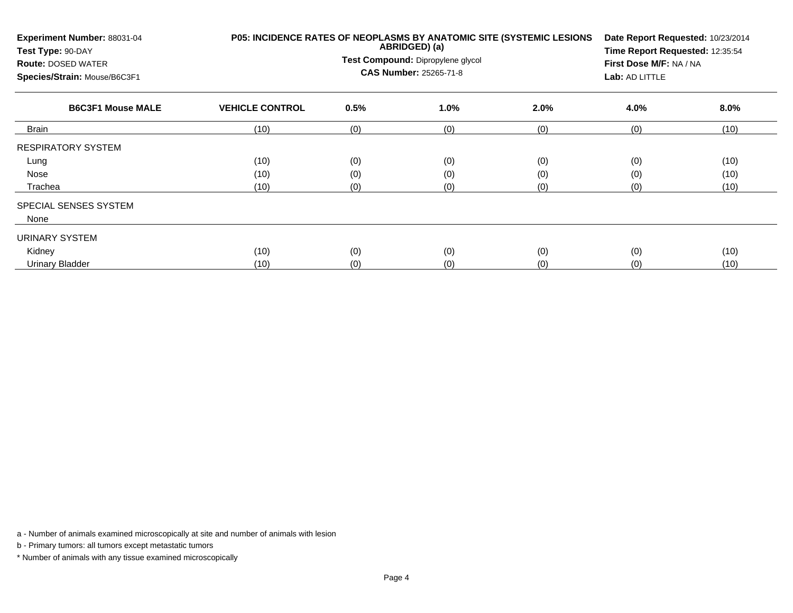| Experiment Number: 88031-04<br>Test Type: 90-DAY<br><b>Route: DOSED WATER</b><br>Species/Strain: Mouse/B6C3F1 |                        |      | ABRIDGED) (a)<br>Test Compound: Dipropylene glycol<br><b>CAS Number: 25265-71-8</b> | P05: INCIDENCE RATES OF NEOPLASMS BY ANATOMIC SITE (SYSTEMIC LESIONS | Date Report Requested: 10/23/2014<br>Time Report Requested: 12:35:54<br>First Dose M/F: NA / NA<br>Lab: AD LITTLE |         |
|---------------------------------------------------------------------------------------------------------------|------------------------|------|-------------------------------------------------------------------------------------|----------------------------------------------------------------------|-------------------------------------------------------------------------------------------------------------------|---------|
| <b>B6C3F1 Mouse MALE</b>                                                                                      | <b>VEHICLE CONTROL</b> | 0.5% | 1.0%                                                                                | 2.0%                                                                 | 4.0%                                                                                                              | $8.0\%$ |
| <b>Brain</b>                                                                                                  | (10)                   | (0)  | (0)                                                                                 | (0)                                                                  | (0)                                                                                                               | (10)    |
| <b>RESPIRATORY SYSTEM</b>                                                                                     |                        |      |                                                                                     |                                                                      |                                                                                                                   |         |
| Lung                                                                                                          | (10)                   | (0)  | (0)                                                                                 | (0)                                                                  | (0)                                                                                                               | (10)    |
| Nose                                                                                                          | (10)                   | (0)  | (0)                                                                                 | (0)                                                                  | (0)                                                                                                               | (10)    |
| Trachea                                                                                                       | (10)                   | (0)  | (0)                                                                                 | (0)                                                                  | (0)                                                                                                               | (10)    |
| SPECIAL SENSES SYSTEM<br>None                                                                                 |                        |      |                                                                                     |                                                                      |                                                                                                                   |         |
| URINARY SYSTEM                                                                                                |                        |      |                                                                                     |                                                                      |                                                                                                                   |         |
| Kidney                                                                                                        | (10)                   | (0)  | (0)                                                                                 | (0)                                                                  | (0)                                                                                                               | (10)    |
| <b>Urinary Bladder</b>                                                                                        | (10)                   | (0)  | (0)                                                                                 | (0)                                                                  | (0)                                                                                                               | (10)    |

b - Primary tumors: all tumors except metastatic tumors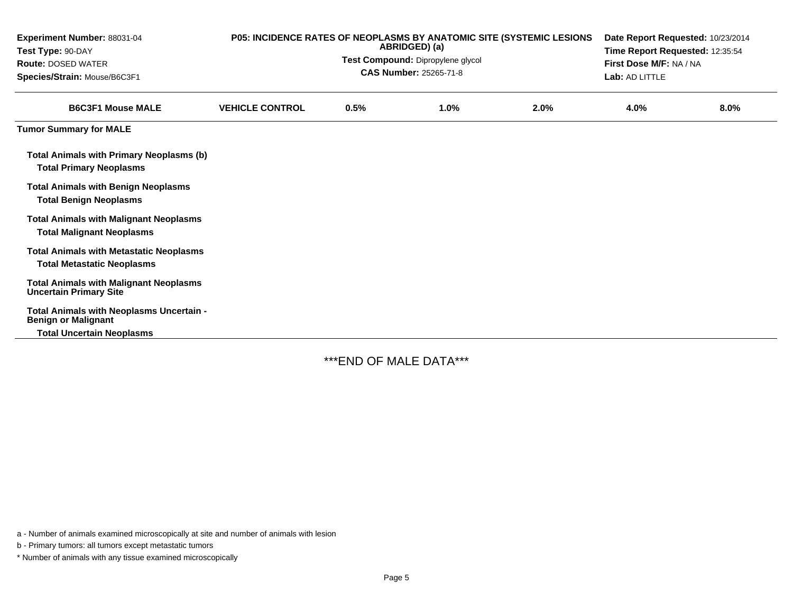| Experiment Number: 88031-04<br>Test Type: 90-DAY<br><b>Route: DOSED WATER</b><br>Species/Strain: Mouse/B6C3F1 |                        | P05: INCIDENCE RATES OF NEOPLASMS BY ANATOMIC SITE (SYSTEMIC LESIONS<br>Date Report Requested: 10/23/2014<br>ABRIDGED) (a)<br>Time Report Requested: 12:35:54<br>Test Compound: Dipropylene glycol<br>First Dose M/F: NA / NA<br>CAS Number: 25265-71-8<br>Lab: AD LITTLE |      |      |      |      |
|---------------------------------------------------------------------------------------------------------------|------------------------|---------------------------------------------------------------------------------------------------------------------------------------------------------------------------------------------------------------------------------------------------------------------------|------|------|------|------|
| <b>B6C3F1 Mouse MALE</b>                                                                                      | <b>VEHICLE CONTROL</b> | 0.5%                                                                                                                                                                                                                                                                      | 1.0% | 2.0% | 4.0% | 8.0% |
| <b>Tumor Summary for MALE</b>                                                                                 |                        |                                                                                                                                                                                                                                                                           |      |      |      |      |
| <b>Total Animals with Primary Neoplasms (b)</b><br><b>Total Primary Neoplasms</b>                             |                        |                                                                                                                                                                                                                                                                           |      |      |      |      |
| <b>Total Animals with Benign Neoplasms</b><br><b>Total Benign Neoplasms</b>                                   |                        |                                                                                                                                                                                                                                                                           |      |      |      |      |
| <b>Total Animals with Malignant Neoplasms</b><br><b>Total Malignant Neoplasms</b>                             |                        |                                                                                                                                                                                                                                                                           |      |      |      |      |
| <b>Total Animals with Metastatic Neoplasms</b><br><b>Total Metastatic Neoplasms</b>                           |                        |                                                                                                                                                                                                                                                                           |      |      |      |      |
| <b>Total Animals with Malignant Neoplasms</b><br><b>Uncertain Primary Site</b>                                |                        |                                                                                                                                                                                                                                                                           |      |      |      |      |
| Total Animals with Neoplasms Uncertain -<br><b>Benign or Malignant</b><br><b>Total Uncertain Neoplasms</b>    |                        |                                                                                                                                                                                                                                                                           |      |      |      |      |

\*\*\*END OF MALE DATA\*\*\*

a - Number of animals examined microscopically at site and number of animals with lesion

b - Primary tumors: all tumors except metastatic tumors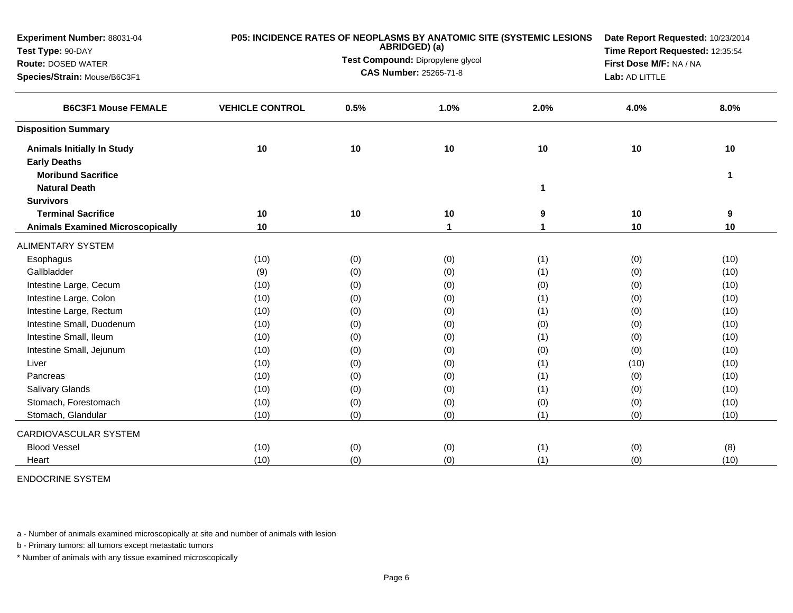| Experiment Number: 88031-04                              |                        |      | ABRIDGED) (a)                     | P05: INCIDENCE RATES OF NEOPLASMS BY ANATOMIC SITE (SYSTEMIC LESIONS |      |                                                                                                                                                                                                                        |  |  |
|----------------------------------------------------------|------------------------|------|-----------------------------------|----------------------------------------------------------------------|------|------------------------------------------------------------------------------------------------------------------------------------------------------------------------------------------------------------------------|--|--|
| Test Type: 90-DAY                                        |                        |      | Test Compound: Dipropylene glycol |                                                                      |      |                                                                                                                                                                                                                        |  |  |
| <b>Route: DOSED WATER</b>                                |                        |      | <b>CAS Number: 25265-71-8</b>     |                                                                      |      | Date Report Requested: 10/23/2014<br>Time Report Requested: 12:35:54<br>First Dose M/F: NA / NA<br>Lab: AD LITTLE<br>4.0%<br>8.0%<br>10<br>10<br>1<br>10<br>9<br>10<br>10<br>(0)<br>(10)<br>(0)<br>(10)<br>(0)<br>(10) |  |  |
| Species/Strain: Mouse/B6C3F1                             |                        |      |                                   |                                                                      |      |                                                                                                                                                                                                                        |  |  |
| <b>B6C3F1 Mouse FEMALE</b>                               | <b>VEHICLE CONTROL</b> | 0.5% | 1.0%                              | 2.0%                                                                 |      |                                                                                                                                                                                                                        |  |  |
| <b>Disposition Summary</b>                               |                        |      |                                   |                                                                      |      |                                                                                                                                                                                                                        |  |  |
| <b>Animals Initially In Study</b><br><b>Early Deaths</b> | 10                     | 10   | 10                                | 10                                                                   |      |                                                                                                                                                                                                                        |  |  |
| <b>Moribund Sacrifice</b>                                |                        |      |                                   |                                                                      |      |                                                                                                                                                                                                                        |  |  |
| <b>Natural Death</b>                                     |                        |      |                                   | 1                                                                    |      |                                                                                                                                                                                                                        |  |  |
| <b>Survivors</b>                                         |                        |      |                                   |                                                                      |      |                                                                                                                                                                                                                        |  |  |
| <b>Terminal Sacrifice</b>                                | 10                     | 10   | 10                                | 9                                                                    |      |                                                                                                                                                                                                                        |  |  |
| <b>Animals Examined Microscopically</b>                  | 10                     |      | 1                                 | 1                                                                    |      |                                                                                                                                                                                                                        |  |  |
| <b>ALIMENTARY SYSTEM</b>                                 |                        |      |                                   |                                                                      |      |                                                                                                                                                                                                                        |  |  |
| Esophagus                                                | (10)                   | (0)  | (0)                               | (1)                                                                  |      |                                                                                                                                                                                                                        |  |  |
| Gallbladder                                              | (9)                    | (0)  | (0)                               | (1)                                                                  |      |                                                                                                                                                                                                                        |  |  |
| Intestine Large, Cecum                                   | (10)                   | (0)  | (0)                               | (0)                                                                  |      |                                                                                                                                                                                                                        |  |  |
| Intestine Large, Colon                                   | (10)                   | (0)  | (0)                               | (1)                                                                  | (0)  | (10)                                                                                                                                                                                                                   |  |  |
| Intestine Large, Rectum                                  | (10)                   | (0)  | (0)                               | (1)                                                                  | (0)  | (10)                                                                                                                                                                                                                   |  |  |
| Intestine Small, Duodenum                                | (10)                   | (0)  | (0)                               | (0)                                                                  | (0)  | (10)                                                                                                                                                                                                                   |  |  |
| Intestine Small, Ileum                                   | (10)                   | (0)  | (0)                               | (1)                                                                  | (0)  | (10)                                                                                                                                                                                                                   |  |  |
| Intestine Small, Jejunum                                 | (10)                   | (0)  | (0)                               | (0)                                                                  | (0)  | (10)                                                                                                                                                                                                                   |  |  |
| Liver                                                    | (10)                   | (0)  | (0)                               | (1)                                                                  | (10) | (10)                                                                                                                                                                                                                   |  |  |
| Pancreas                                                 | (10)                   | (0)  | (0)                               | (1)                                                                  | (0)  | (10)                                                                                                                                                                                                                   |  |  |
| <b>Salivary Glands</b>                                   | (10)                   | (0)  | (0)                               | (1)                                                                  | (0)  | (10)                                                                                                                                                                                                                   |  |  |
| Stomach, Forestomach                                     | (10)                   | (0)  | (0)                               | (0)                                                                  | (0)  | (10)                                                                                                                                                                                                                   |  |  |
| Stomach, Glandular                                       | (10)                   | (0)  | (0)                               | (1)                                                                  | (0)  | (10)                                                                                                                                                                                                                   |  |  |
| CARDIOVASCULAR SYSTEM                                    |                        |      |                                   |                                                                      |      |                                                                                                                                                                                                                        |  |  |
| <b>Blood Vessel</b>                                      | (10)                   | (0)  | (0)                               | (1)                                                                  | (0)  | (8)                                                                                                                                                                                                                    |  |  |
| Heart                                                    | (10)                   | (0)  | (0)                               | (1)                                                                  | (0)  | (10)                                                                                                                                                                                                                   |  |  |

ENDOCRINE SYSTEM

a - Number of animals examined microscopically at site and number of animals with lesion

b - Primary tumors: all tumors except metastatic tumors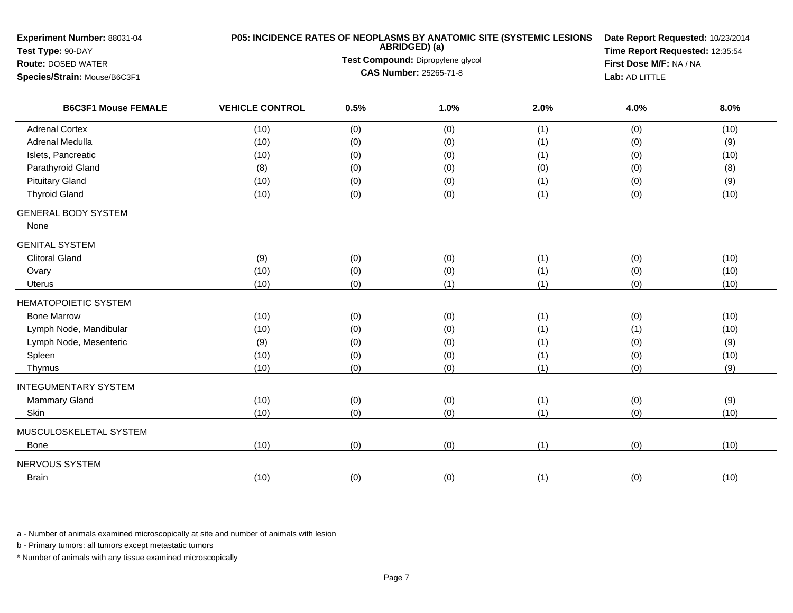| Experiment Number: 88031-04<br>Test Type: 90-DAY |                                   |      | ABRIDGED) (a)                 | P05: INCIDENCE RATES OF NEOPLASMS BY ANATOMIC SITE (SYSTEMIC LESIONS | Date Report Requested: 10/23/2014<br>Time Report Requested: 12:35:54 |      |  |
|--------------------------------------------------|-----------------------------------|------|-------------------------------|----------------------------------------------------------------------|----------------------------------------------------------------------|------|--|
| <b>Route: DOSED WATER</b>                        | Test Compound: Dipropylene glycol |      |                               |                                                                      | First Dose M/F: NA / NA                                              |      |  |
| Species/Strain: Mouse/B6C3F1                     |                                   |      | <b>CAS Number: 25265-71-8</b> |                                                                      | Lab: AD LITTLE                                                       |      |  |
| <b>B6C3F1 Mouse FEMALE</b>                       | <b>VEHICLE CONTROL</b>            | 0.5% | 1.0%                          | 2.0%                                                                 | 4.0%                                                                 | 8.0% |  |
| <b>Adrenal Cortex</b>                            | (10)                              | (0)  | (0)                           | (1)                                                                  | (0)                                                                  | (10) |  |
| <b>Adrenal Medulla</b>                           | (10)                              | (0)  | (0)                           | (1)                                                                  | (0)                                                                  | (9)  |  |
| Islets, Pancreatic                               | (10)                              | (0)  | (0)                           | (1)                                                                  | (0)                                                                  | (10) |  |
| Parathyroid Gland                                | (8)                               | (0)  | (0)                           | (0)                                                                  | (0)                                                                  | (8)  |  |
| <b>Pituitary Gland</b>                           | (10)                              | (0)  | (0)                           | (1)                                                                  | (0)                                                                  | (9)  |  |
| <b>Thyroid Gland</b>                             | (10)                              | (0)  | (0)                           | (1)                                                                  | (0)                                                                  | (10) |  |
| <b>GENERAL BODY SYSTEM</b>                       |                                   |      |                               |                                                                      |                                                                      |      |  |
| None                                             |                                   |      |                               |                                                                      |                                                                      |      |  |
| <b>GENITAL SYSTEM</b>                            |                                   |      |                               |                                                                      |                                                                      |      |  |
| <b>Clitoral Gland</b>                            | (9)                               | (0)  | (0)                           | (1)                                                                  | (0)                                                                  | (10) |  |
| Ovary                                            | (10)                              | (0)  | (0)                           | (1)                                                                  | (0)                                                                  | (10) |  |
| Uterus                                           | (10)                              | (0)  | (1)                           | (1)                                                                  | (0)                                                                  | (10) |  |
| <b>HEMATOPOIETIC SYSTEM</b>                      |                                   |      |                               |                                                                      |                                                                      |      |  |
| <b>Bone Marrow</b>                               | (10)                              | (0)  | (0)                           | (1)                                                                  | (0)                                                                  | (10) |  |
| Lymph Node, Mandibular                           | (10)                              | (0)  | (0)                           | (1)                                                                  | (1)                                                                  | (10) |  |
| Lymph Node, Mesenteric                           | (9)                               | (0)  | (0)                           | (1)                                                                  | (0)                                                                  | (9)  |  |
| Spleen                                           | (10)                              | (0)  | (0)                           | (1)                                                                  | (0)                                                                  | (10) |  |
| Thymus                                           | (10)                              | (0)  | (0)                           | (1)                                                                  | (0)                                                                  | (9)  |  |
| <b>INTEGUMENTARY SYSTEM</b>                      |                                   |      |                               |                                                                      |                                                                      |      |  |
| Mammary Gland                                    | (10)                              | (0)  | (0)                           | (1)                                                                  | (0)                                                                  | (9)  |  |
| Skin                                             | (10)                              | (0)  | (0)                           | (1)                                                                  | (0)                                                                  | (10) |  |
| MUSCULOSKELETAL SYSTEM                           |                                   |      |                               |                                                                      |                                                                      |      |  |
| <b>Bone</b>                                      | (10)                              | (0)  | (0)                           | (1)                                                                  | (0)                                                                  | (10) |  |
| NERVOUS SYSTEM                                   |                                   |      |                               |                                                                      |                                                                      |      |  |
| <b>Brain</b>                                     | (10)                              | (0)  | (0)                           | (1)                                                                  | (0)                                                                  | (10) |  |
|                                                  |                                   |      |                               |                                                                      |                                                                      |      |  |

b - Primary tumors: all tumors except metastatic tumors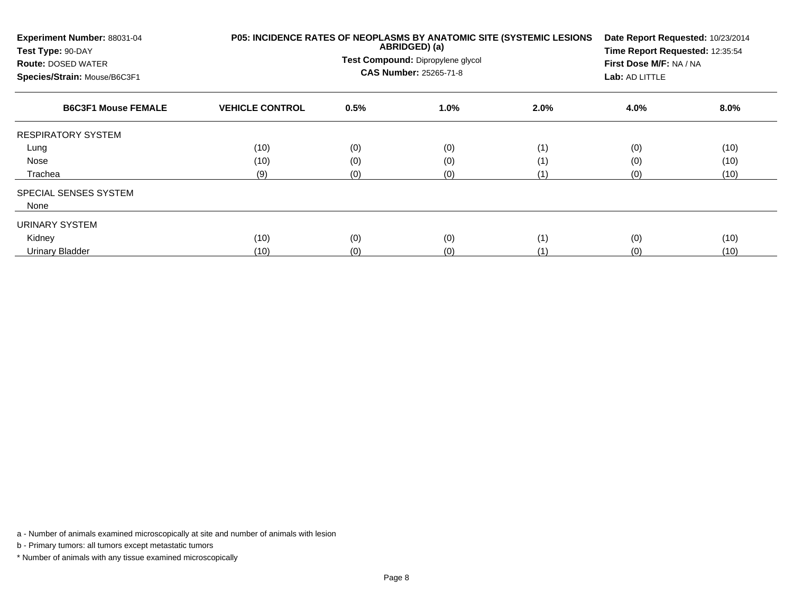| Experiment Number: 88031-04<br>Test Type: 90-DAY<br><b>Route: DOSED WATER</b><br>Species/Strain: Mouse/B6C3F1 |                        |      | ABRIDGED) (a)<br>Test Compound: Dipropylene glycol<br>CAS Number: 25265-71-8 | P05: INCIDENCE RATES OF NEOPLASMS BY ANATOMIC SITE (SYSTEMIC LESIONS | First Dose M/F: NA / NA<br>Lab: AD LITTLE | Date Report Requested: 10/23/2014<br>Time Report Requested: 12:35:54 |  |  |
|---------------------------------------------------------------------------------------------------------------|------------------------|------|------------------------------------------------------------------------------|----------------------------------------------------------------------|-------------------------------------------|----------------------------------------------------------------------|--|--|
| <b>B6C3F1 Mouse FEMALE</b>                                                                                    | <b>VEHICLE CONTROL</b> | 0.5% | $1.0\%$                                                                      | 2.0%                                                                 | 4.0%                                      | 8.0%                                                                 |  |  |
| <b>RESPIRATORY SYSTEM</b>                                                                                     |                        |      |                                                                              |                                                                      |                                           |                                                                      |  |  |
| Lung                                                                                                          | (10)                   | (0)  | (0)                                                                          | (1)                                                                  | (0)                                       | (10)                                                                 |  |  |
| Nose                                                                                                          | (10)                   | (0)  | (0)                                                                          | (1)                                                                  | (0)                                       | (10)                                                                 |  |  |
| Trachea                                                                                                       | (9)                    | (0)  | (0)                                                                          | (1)                                                                  | (0)                                       | (10)                                                                 |  |  |
| SPECIAL SENSES SYSTEM                                                                                         |                        |      |                                                                              |                                                                      |                                           |                                                                      |  |  |
| None                                                                                                          |                        |      |                                                                              |                                                                      |                                           |                                                                      |  |  |
| URINARY SYSTEM                                                                                                |                        |      |                                                                              |                                                                      |                                           |                                                                      |  |  |
| Kidney                                                                                                        | (10)                   | (0)  | (0)                                                                          | (1)                                                                  | (0)                                       | (10)                                                                 |  |  |
| <b>Urinary Bladder</b>                                                                                        | (10)                   | (0)  | (0)                                                                          | (1                                                                   | (0)                                       | (10)                                                                 |  |  |

b - Primary tumors: all tumors except metastatic tumors